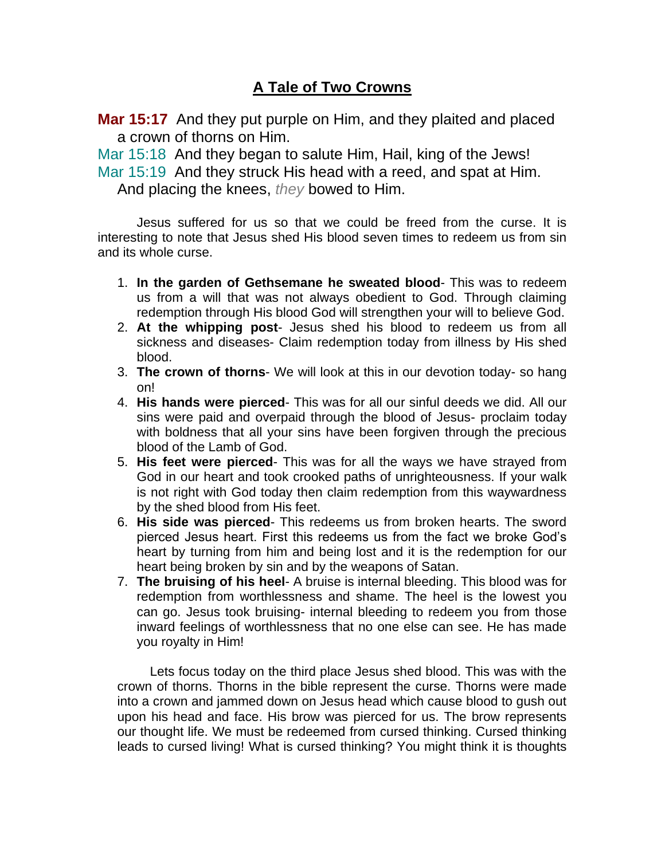## **A Tale of Two Crowns**

**Mar 15:17** And they put purple on Him, and they plaited and placed a crown of thorns on Him.

Mar 15:18 And they began to salute Him, Hail, king of the Jews!

Mar 15:19 And they struck His head with a reed, and spat at Him.

And placing the knees, *they* bowed to Him.

Jesus suffered for us so that we could be freed from the curse. It is interesting to note that Jesus shed His blood seven times to redeem us from sin and its whole curse.

- 1. **In the garden of Gethsemane he sweated blood** This was to redeem us from a will that was not always obedient to God. Through claiming redemption through His blood God will strengthen your will to believe God.
- 2. **At the whipping post** Jesus shed his blood to redeem us from all sickness and diseases- Claim redemption today from illness by His shed blood.
- 3. **The crown of thorns** We will look at this in our devotion today- so hang on!
- 4. **His hands were pierced** This was for all our sinful deeds we did. All our sins were paid and overpaid through the blood of Jesus- proclaim today with boldness that all your sins have been forgiven through the precious blood of the Lamb of God.
- 5. **His feet were pierced** This was for all the ways we have strayed from God in our heart and took crooked paths of unrighteousness. If your walk is not right with God today then claim redemption from this waywardness by the shed blood from His feet.
- 6. **His side was pierced** This redeems us from broken hearts. The sword pierced Jesus heart. First this redeems us from the fact we broke God's heart by turning from him and being lost and it is the redemption for our heart being broken by sin and by the weapons of Satan.
- 7. **The bruising of his heel** A bruise is internal bleeding. This blood was for redemption from worthlessness and shame. The heel is the lowest you can go. Jesus took bruising- internal bleeding to redeem you from those inward feelings of worthlessness that no one else can see. He has made you royalty in Him!

 Lets focus today on the third place Jesus shed blood. This was with the crown of thorns. Thorns in the bible represent the curse. Thorns were made into a crown and jammed down on Jesus head which cause blood to gush out upon his head and face. His brow was pierced for us. The brow represents our thought life. We must be redeemed from cursed thinking. Cursed thinking leads to cursed living! What is cursed thinking? You might think it is thoughts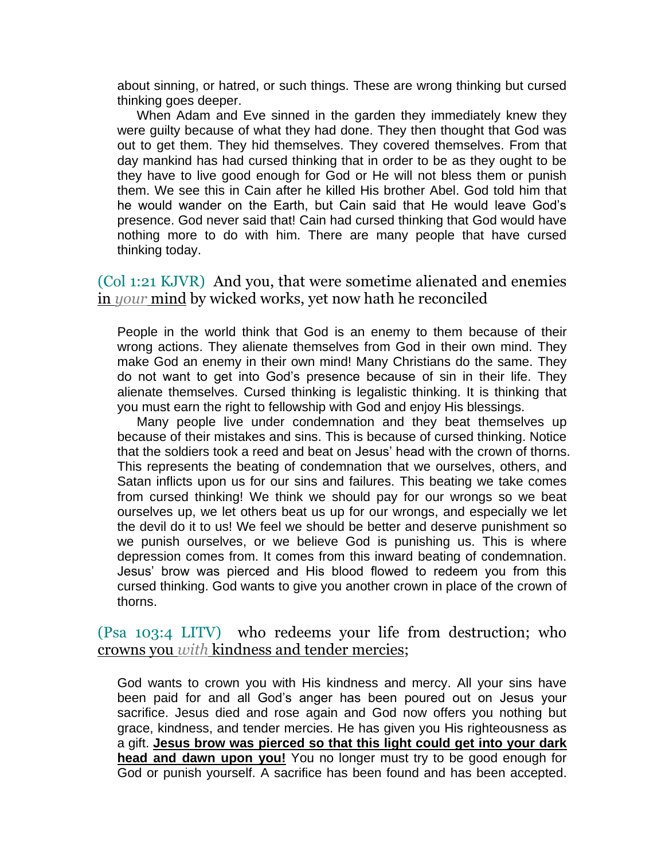about sinning, or hatred, or such things. These are wrong thinking but cursed thinking goes deeper.

When Adam and Eve sinned in the garden they immediately knew they were guilty because of what they had done. They then thought that God was out to get them. They hid themselves. They covered themselves. From that day mankind has had cursed thinking that in order to be as they ought to be they have to live good enough for God or He will not bless them or punish them. We see this in Cain after he killed His brother Abel. God told him that he would wander on the Earth, but Cain said that He would leave God's presence. God never said that! Cain had cursed thinking that God would have nothing more to do with him. There are many people that have cursed thinking today.

(Col 1:21 KJVR) And you, that were sometime alienated and enemies in *your* mind by wicked works, yet now hath he reconciled

People in the world think that God is an enemy to them because of their wrong actions. They alienate themselves from God in their own mind. They make God an enemy in their own mind! Many Christians do the same. They do not want to get into God's presence because of sin in their life. They alienate themselves. Cursed thinking is legalistic thinking. It is thinking that you must earn the right to fellowship with God and enjoy His blessings.

Many people live under condemnation and they beat themselves up because of their mistakes and sins. This is because of cursed thinking. Notice that the soldiers took a reed and beat on Jesus' head with the crown of thorns. This represents the beating of condemnation that we ourselves, others, and Satan inflicts upon us for our sins and failures. This beating we take comes from cursed thinking! We think we should pay for our wrongs so we beat ourselves up, we let others beat us up for our wrongs, and especially we let the devil do it to us! We feel we should be better and deserve punishment so we punish ourselves, or we believe God is punishing us. This is where depression comes from. It comes from this inward beating of condemnation. Jesus' brow was pierced and His blood flowed to redeem you from this cursed thinking. God wants to give you another crown in place of the crown of thorns.

(Psa 103:4 LITV) who redeems your life from destruction; who crowns you *with* kindness and tender mercies;

God wants to crown you with His kindness and mercy. All your sins have been paid for and all God's anger has been poured out on Jesus your sacrifice. Jesus died and rose again and God now offers you nothing but grace, kindness, and tender mercies. He has given you His righteousness as a gift. **Jesus brow was pierced so that this light could get into your dark head and dawn upon you!** You no longer must try to be good enough for God or punish yourself. A sacrifice has been found and has been accepted.